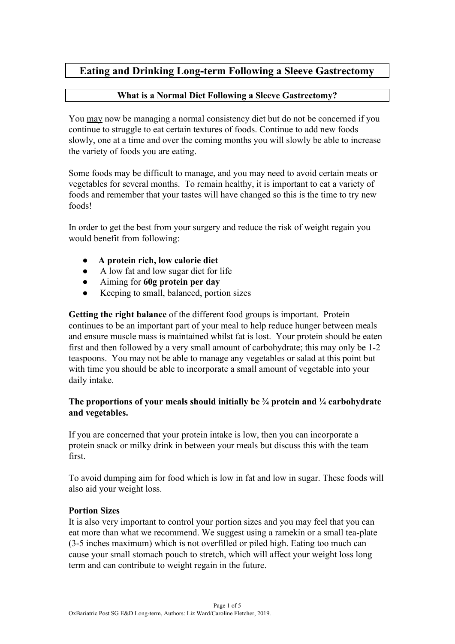## **Eating and Drinking Long-term Following a Sleeve Gastrectomy**

### **What is a Normal Diet Following a Sleeve Gastrectomy?**

You may now be managing a normal consistency diet but do not be concerned if you continue to struggle to eat certain textures of foods. Continue to add new foods slowly, one at a time and over the coming months you will slowly be able to increase the variety of foods you are eating.

Some foods may be difficult to manage, and you may need to avoid certain meats or vegetables for several months. To remain healthy, it is important to eat a variety of foods and remember that your tastes will have changed so this is the time to try new foods!

In order to get the best from your surgery and reduce the risk of weight regain you would benefit from following:

- **● A protein rich, low calorie diet**
- A low fat and low sugar diet for life
- Aiming for **60g protein per day**
- Keeping to small, balanced, portion sizes

**Getting the right balance** of the different food groups is important. Protein continues to be an important part of your meal to help reduce hunger between meals and ensure muscle mass is maintained whilst fat is lost. Your protein should be eaten first and then followed by a very small amount of carbohydrate; this may only be 1-2 teaspoons. You may not be able to manage any vegetables or salad at this point but with time you should be able to incorporate a small amount of vegetable into your daily intake.

#### **The proportions of your meals should initially be ¾ protein and ¼ carbohydrate and vegetables.**

If you are concerned that your protein intake is low, then you can incorporate a protein snack or milky drink in between your meals but discuss this with the team first.

To avoid dumping aim for food which is low in fat and low in sugar. These foods will also aid your weight loss.

### **Portion Sizes**

It is also very important to control your portion sizes and you may feel that you can eat more than what we recommend. We suggest using a ramekin or a small tea-plate (3-5 inches maximum) which is not overfilled or piled high. Eating too much can cause your small stomach pouch to stretch, which will affect your weight loss long term and can contribute to weight regain in the future.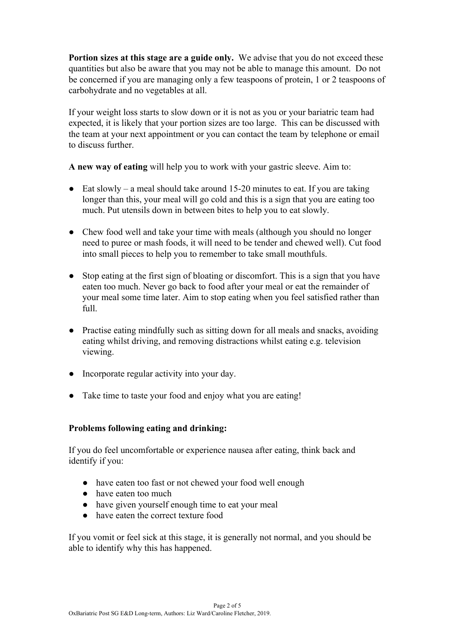**Portion sizes at this stage are a guide only.** We advise that you do not exceed these quantities but also be aware that you may not be able to manage this amount. Do not be concerned if you are managing only a few teaspoons of protein, 1 or 2 teaspoons of carbohydrate and no vegetables at all.

If your weight loss starts to slow down or it is not as you or your bariatric team had expected, it is likely that your portion sizes are too large. This can be discussed with the team at your next appointment or you can contact the team by telephone or email to discuss further.

**A new way of eating** will help you to work with your gastric sleeve. Aim to:

- $\bullet$  Eat slowly a meal should take around 15-20 minutes to eat. If you are taking longer than this, your meal will go cold and this is a sign that you are eating too much. Put utensils down in between bites to help you to eat slowly.
- Chew food well and take your time with meals (although you should no longer need to puree or mash foods, it will need to be tender and chewed well). Cut food into small pieces to help you to remember to take small mouthfuls.
- Stop eating at the first sign of bloating or discomfort. This is a sign that you have eaten too much. Never go back to food after your meal or eat the remainder of your meal some time later. Aim to stop eating when you feel satisfied rather than full.
- Practise eating mindfully such as sitting down for all meals and snacks, avoiding eating whilst driving, and removing distractions whilst eating e.g. television viewing.
- Incorporate regular activity into your day.
- Take time to taste your food and enjoy what you are eating!

### **Problems following eating and drinking:**

If you do feel uncomfortable or experience nausea after eating, think back and identify if you:

- have eaten too fast or not chewed your food well enough
- have eaten too much
- have given yourself enough time to eat your meal
- have eaten the correct texture food

If you vomit or feel sick at this stage, it is generally not normal, and you should be able to identify why this has happened.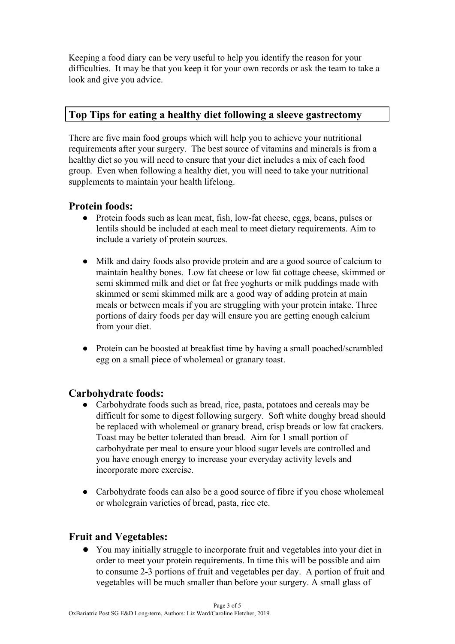Keeping a food diary can be very useful to help you identify the reason for your difficulties. It may be that you keep it for your own records or ask the team to take a look and give you advice.

## **Top Tips for eating a healthy diet following a sleeve gastrectomy**

There are five main food groups which will help you to achieve your nutritional requirements after your surgery. The best source of vitamins and minerals is from a healthy diet so you will need to ensure that your diet includes a mix of each food group. Even when following a healthy diet, you will need to take your nutritional supplements to maintain your health lifelong.

### **Protein foods:**

- Protein foods such as lean meat, fish, low-fat cheese, eggs, beans, pulses or lentils should be included at each meal to meet dietary requirements. Aim to include a variety of protein sources.
- Milk and dairy foods also provide protein and are a good source of calcium to maintain healthy bones. Low fat cheese or low fat cottage cheese, skimmed or semi skimmed milk and diet or fat free yoghurts or milk puddings made with skimmed or semi skimmed milk are a good way of adding protein at main meals or between meals if you are struggling with your protein intake. Three portions of dairy foods per day will ensure you are getting enough calcium from your diet.
- Protein can be boosted at breakfast time by having a small poached/scrambled egg on a small piece of wholemeal or granary toast.

## **Carbohydrate foods:**

- Carbohydrate foods such as bread, rice, pasta, potatoes and cereals may be difficult for some to digest following surgery. Soft white doughy bread should be replaced with wholemeal or granary bread, crisp breads or low fat crackers. Toast may be better tolerated than bread. Aim for 1 small portion of carbohydrate per meal to ensure your blood sugar levels are controlled and you have enough energy to increase your everyday activity levels and incorporate more exercise.
- Carbohydrate foods can also be a good source of fibre if you chose wholemeal or wholegrain varieties of bread, pasta, rice etc.

# **Fruit and Vegetables:**

You may initially struggle to incorporate fruit and vegetables into your diet in order to meet your protein requirements. In time this will be possible and aim to consume 2-3 portions of fruit and vegetables per day. A portion of fruit and vegetables will be much smaller than before your surgery. A small glass of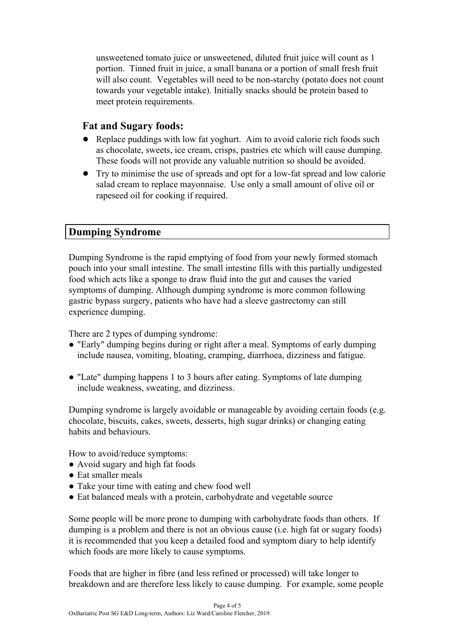unsweetened tomato juice or unsweetened, diluted fruit juice will count as 1 portion. Tinned fruit in juice, a small banana or a portion of small fresh fruit will also count. Vegetables will need to be non-starchy (potato does not count towards your vegetable intake). Initially snacks should be protein based to meet protein requirements.

### **Fat and Sugary foods:**

- Replace puddings with low fat yoghurt. Aim to avoid calorie rich foods such as chocolate, sweets, ice cream, crisps, pastries etc which will cause dumping. These foods will not provide any valuable nutrition so should be avoided.
- **●** Try to minimise the use of spreads and opt for a low-fat spread and low calorie salad cream to replace mayonnaise. Use only a small amount of olive oil or rapeseed oil for cooking if required.

## **Dumping Syndrome**

Dumping Syndrome is the rapid emptying of food from your newly formed stomach pouch into your small intestine. The small intestine fills with this partially undigested food which acts like a sponge to draw fluid into the gut and causes the varied symptoms of dumping. Although dumping syndrome is more common following gastric bypass surgery, patients who have had a sleeve gastrectomy can still experience dumping.

There are 2 types of dumping syndrome:

- "Early" dumping begins during or right after a meal. Symptoms of early dumping include nausea, vomiting, bloating, cramping, diarrhoea, dizziness and fatigue.
- "Late" dumping happens 1 to 3 hours after eating. Symptoms of late dumping include weakness, sweating, and dizziness.

Dumping syndrome is largely avoidable or manageable by avoiding certain foods (e.g. chocolate, biscuits, cakes, sweets, desserts, high sugar drinks) or changing eating habits and behaviours.

How to avoid/reduce symptoms:

- Avoid sugary and high fat foods
- Eat smaller meals
- Take your time with eating and chew food well
- Eat balanced meals with a protein, carbohydrate and vegetable source

Some people will be more prone to dumping with carbohydrate foods than others. If dumping is a problem and there is not an obvious cause (i.e. high fat or sugary foods) it is recommended that you keep a detailed food and symptom diary to help identify which foods are more likely to cause symptoms.

Foods that are higher in fibre (and less refined or processed) will take longer to breakdown and are therefore less likely to cause dumping. For example, some people